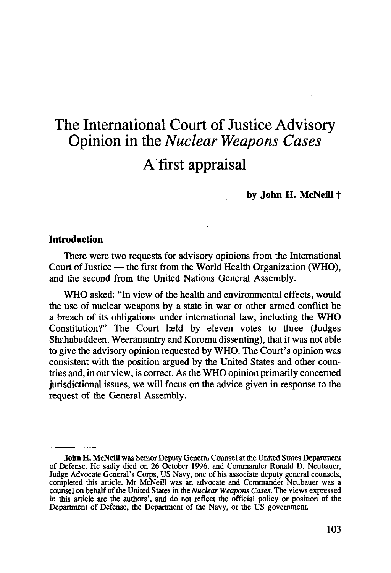# The International Court of Justice Advisory Opinion in the *Nuclear Weapons Cases* A first appraisal

#### **by John H. McNeill**  $\dagger$

#### **Introduction**

There were two requests for advisory opinions from the International Court of Justice — the first from the World Health Organization (WHO), and the second from the United Nations General Assembly.

WHO asked: "In view of the health and environmental effects, would the use of nuclear weapons by a state in war or other armed conflict be a breach of its obligations under international law, including the WHO Constitution?" The Court held by eleven votes to three (Judges Shahabuddeen, Weeramantry and Koroma dissenting), that it was not able to give the advisory opinion requested by WHO. The Court's opinion was consistent with the position argued by the United States and other countries and, in our view, is correct. As the WHO opinion primarily concerned jurisdictional issues, we will focus on the advice given in response to the request of the General Assembly.

John H. McNeill was Senior Deputy General Counsel at the United States Department<br>of Defense. He sadly died on 26 October 1996, and Commander Ronald D. Neubauer,<br>Judge Advocate General's Corps, US Navy, one of his associat in this article are the authors', and do not reflect the official policy or position of the Department of Defense, the Department of the Navy, or the US government.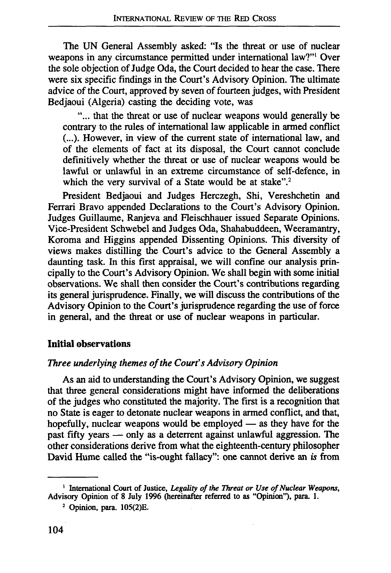The UN General Assembly asked: "Is the threat or use of nuclear weapons in any circumstance permitted under international law?"<sup>1</sup> Over the sole objection of Judge Oda, the Court decided to hear the case. There were six specific findings in the Court's Advisory Opinion. The ultimate advice of die Court, approved by seven of fourteen judges, with President Bedjaoui (Algeria) casting the deciding vote, was

"... that the threat or use of nuclear weapons would generally be contrary to the rules of international law applicable in armed conflict (...). However, in view of the current state of international law, and of the elements of fact at its disposal, the Court cannot conclude definitively whether the threat or use of nuclear weapons would be lawful or unlawful in an extreme circumstance of self-defence, in which the very survival of a State would be at stake".<sup>2</sup>

President Bedjaoui and Judges Herczegh, Shi, Vereshchetin and Ferrari Bravo appended Declarations to the Court's Advisory Opinion. Judges Guillaume, Ranjeva and Fleischhauer issued Separate Opinions. Vice-President Schwebel and Judges Oda, Shahabuddeen, Weeramantry, Koroma and Higgins appended Dissenting Opinions. This diversity of views makes distilling the Court's advice to the General Assembly a daunting task. In this first appraisal, we will confine our analysis principally to the Court's Advisory Opinion. We shall begin with some initial observations. We shall then consider the Court's contributions regarding its general jurisprudence. Finally, we will discuss the contributions of the Advisory Opinion to the Court's jurisprudence regarding the use of force in general, and the threat or use of nuclear weapons in particular.

### **Initial observations**

## *Three underlying themes of the Court's Advisory Opinion*

As an aid to understanding the Court's Advisory Opinion, we suggest that three general considerations might have informed the deliberations of the judges who constituted the majority. The first is a recognition that no State is eager to detonate nuclear weapons in armed conflict, and that, hopefully, nuclear weapons would be employed — as they have for the past fifty years — only as a deterrent against unlawful aggression. The other considerations derive from what the eighteenth-century philosopher David Hume called the "is-ought fallacy": one cannot derive an is from

<sup>&</sup>lt;sup>1</sup> International Court of Justice, *Legality of the Threat or Use of Nuclear Weapons*, Advisory Opinion of 8 July 1996 (hereinafter referred to as "Opinion"), para. 1.

 $2$  Opinion, para,  $105(2)E$ .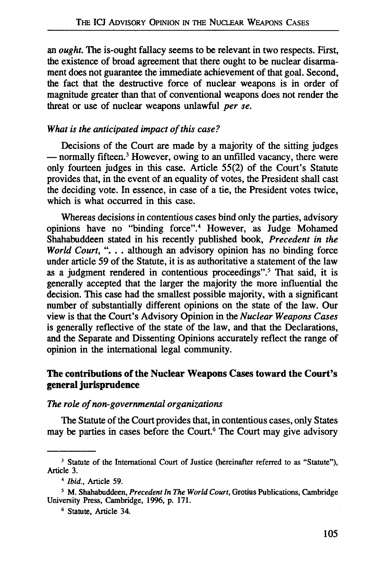an *ought.* The is-ought fallacy seems to be relevant in two respects. First, the existence of broad agreement that there ought to be nuclear disarmament does not guarantee the immediate achievement of that goal. Second, the fact that the destructive force of nuclear weapons is in order of magnitude greater than that of conventional weapons does not render the threat or use of nuclear weapons unlawful *per se.*

#### *What is the anticipated impact of this case?*

Decisions of the Court are made by a majority of the sitting judges - normally fifteen.<sup>3</sup> However, owing to an unfilled vacancy, there were only fourteen judges in this case. Article 55(2) of the Court's Statute provides that, in the event of an equality of votes, the President shall cast the deciding vote. In essence, in case of a tie, the President votes twice, which is what occurred in this case.

Whereas decisions in contentious cases bind only the parties, advisory opinions have no "binding force".4 However, as Judge Mohamed Shahabuddeen stated in his recently published book, *Precedent in the World Court, ". .* . although an advisory opinion has no binding force under article 59 of the Statute, it is as authoritative a statement of the law as a judgment rendered in contentious proceedings".<sup>5</sup> That said, it is generally accepted that the larger the majority the more influential the decision. This case had the smallest possible majority, with a significant number of substantially different opinions on the state of the law. Our view is that the Court's Advisory Opinion in the *Nuclear Weapons Cases* is generally reflective of the state of the law, and that the Declarations, and the Separate and Dissenting Opinions accurately reflect the range of opinion in the international legal community.

# **The contributions of the Nuclear Weapons Cases toward the Court's general jurisprudence**

#### *The role of non-governmental organizations*

The Statute of the Court provides that, in contentious cases, only States may be parties in cases before the Court.<sup>6</sup> The Court may give advisory

<sup>&</sup>lt;sup>3</sup> Statute of the International Court of Justice (hereinafter referred to as "Statute"), Article 3.

<sup>4</sup>  *Ibid.,* Article 59.

<sup>5</sup> M. Shahabuddeen, *Precedent In The World Court,* Grotius Publications, Cambridge University Press, Cambridge, 1996, p. 171.

<sup>6</sup> Statute, Article 34.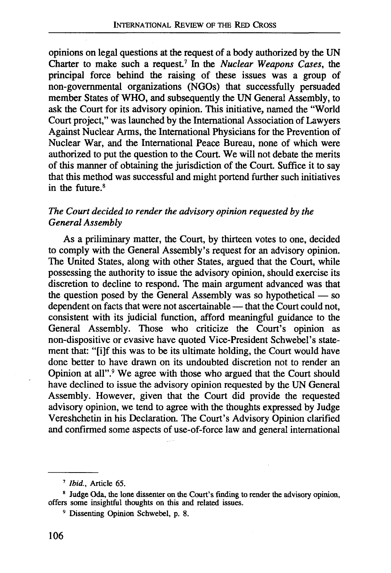opinions on legal questions at the request of a body authorized by the UN Charter to make such a request.7 In the *Nuclear Weapons Cases,* the principal force behind the raising of these issues was a group of non-governmental organizations (NGOs) that successfully persuaded member States of WHO, and subsequently the UN General Assembly, to ask the Court for its advisory opinion. This initiative, named the "World Court project," was launched by the International Association of Lawyers Against Nuclear Arms, the International Physicians for the Prevention of Nuclear War, and the International Peace Bureau, none of which were authorized to put the question to the Court. We will not debate the merits of this manner of obtaining the jurisdiction of the Court. Suffice it to say that this method was successful and might portend further such initiatives in the future.<sup>8</sup>

## *The Court decided to render the advisory opinion requested by the General Assembly*

As a priliminary matter, the Court, by thirteen votes to one, decided to comply with the General Assembly's request for an advisory opinion. The United States, along with other States, argued that the Court, while possessing the authority to issue the advisory opinion, should exercise its discretion to decline to respond. The main argument advanced was that the question posed by the General Assembly was so hypothetical — so dependent on facts that were not ascertainable — that the Court could not, consistent with its judicial function, afford meaningful guidance to the General Assembly. Those who criticize the Court's opinion as non-dispositive or evasive have quoted Vice-President Schwebel's statement that: "[i]f this was to be its ultimate holding, the Court would have done better to have drawn on its undoubted discretion not to render an Opinion at all".9 We agree with those who argued that the Court should have declined to issue the advisory opinion requested by the UN General Assembly. However, given that the Court did provide the requested advisory opinion, we tend to agree with the thoughts expressed by Judge Vereshchetin in his Declaration. The Court's Advisory Opinion clarified and confirmed some aspects of use-of-force law and general international

*<sup>1</sup> Ibid.,* Article 65.

<sup>8</sup> Judge Oda, the lone dissenter on the Court's finding to render the advisory opinion, offers some insightful thoughts on this and related issues.

<sup>9</sup> Dissenting Opinion Schwebel, p. 8.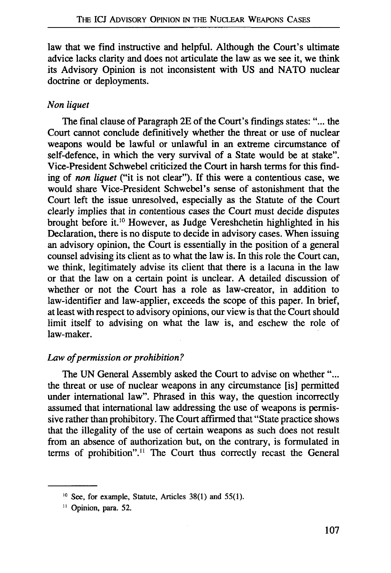law that we find instructive and helpful. Although the Court's ultimate advice lacks clarity and does not articulate the law as we see it, we think its Advisory Opinion is not inconsistent with US and NATO nuclear doctrine or deployments.

# *Non liquet*

The final clause of Paragraph 2E of the Court's findings states: "... the Court cannot conclude definitively whether the threat or use of nuclear weapons would be lawful or unlawful in an extreme circumstance of self-defence, in which the very survival of a State would be at stake". Vice-President Schwebel criticized the Court in harsh terms for this finding of *non liquet* ("it is not clear"). If this were a contentious case, we would share Vice-President Schwebel's sense of astonishment that the Court left the issue unresolved, especially as the Statute of the Court clearly implies that in contentious cases the Court must decide disputes brought before it.<sup>10</sup> However, as Judge Vereshchetin highlighted in his Declaration, there is no dispute to decide in advisory cases. When issuing an advisory opinion, the Court is essentially in the position of a general counsel advising its client as to what the law is. In this role the Court can, we think, legitimately advise its client that there is a lacuna in the law or that the law on a certain point is unclear. A detailed discussion of whether or not the Court has a role as law-creator, in addition to law-identifier and law-applier, exceeds the scope of this paper. In brief, at least with respect to advisory opinions, our view is that the Court should limit itself to advising on what the law is, and eschew the role of law-maker.

# *Law of permission or prohibition?*

The UN General Assembly asked the Court to advise on whether "... the threat or use of nuclear weapons in any circumstance [is] permitted under international law". Phrased in this way, the question incorrectly assumed that international law addressing the use of weapons is permissive rather than prohibitory. The Court affirmed that "State practice shows that the illegality of the use of certain weapons as such does not result from an absence of authorization but, on the contrary, is formulated in terms of prohibition".11 The Court thus correctly recast the General

<sup>&</sup>lt;sup>10</sup> See, for example, Statute, Articles 38(1) and 55(1).

<sup>&</sup>lt;sup>11</sup> Opinion, para. 52.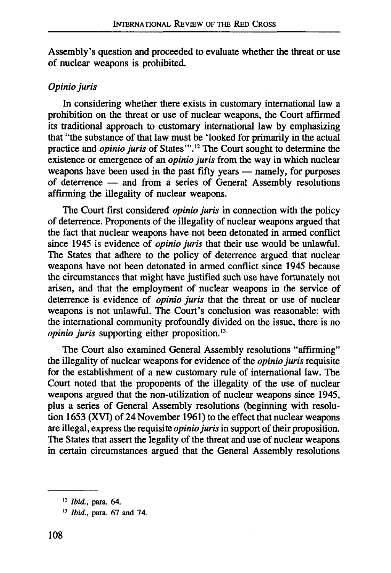Assembly's question and proceeded to evaluate whether the threat or use of nuclear weapons is prohibited.

## *Opinio juris*

In considering whether there exists in customary international law a prohibition on the threat or use of nuclear weapons, the Court affirmed its traditional approach to customary international law by emphasizing that "the substance of that law must be 'looked for primarily in the actual practice and *opinio juris* of States'".<sup>12</sup> The Court sought to determine the existence or emergence of an *opinio juris* from the way in which nuclear weapons have been used in the past fifty years — namely, for purposes of deterrence — and from a series of General Assembly resolutions affirming the illegality of nuclear weapons.

The Court first considered *opinio juris* in connection with the policy of deterrence. Proponents of the illegality of nuclear weapons argued that the fact that nuclear weapons have not been detonated in armed conflict since 1945 is evidence of *opinio juris* that their use would be unlawful. The States that adhere to the policy of deterrence argued that nuclear weapons have not been detonated in armed conflict since 1945 because the circumstances that might have justified such use have fortunately not arisen, and that the employment of nuclear weapons in the service of deterrence is evidence of *opinio juris* that the threat or use of nuclear weapons is not unlawful. The Court's conclusion was reasonable: with the international community profoundly divided on the issue, there is no *opinio juris* supporting either proposition.<sup>13</sup>

The Court also examined General Assembly resolutions "affirming" the illegality of nuclear weapons for evidence of the *opinio juris* requisite for the establishment of a new customary rule of international law. The Court noted that the proponents of the illegality of the use of nuclear weapons argued that the non-utilization of nuclear weapons since 1945, plus a series of General Assembly resolutions (beginning with resolution 1653 (XVI) of 24 November 1961) to the effect that nuclear weapons are illegal, express the requisite *opinio juris* in support of their proposition. The States that assert the legality of the threat and use of nuclear weapons in certain circumstances argued that the General Assembly resolutions

<sup>12</sup>  *Ibid.,* para. 64.

<sup>13</sup>  *Ibid.,* para. 67 and 74.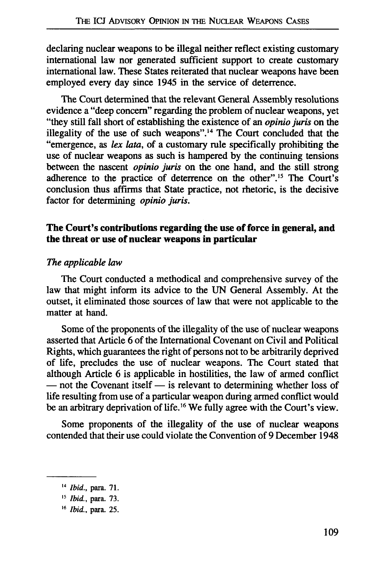declaring nuclear weapons to be illegal neither reflect existing customary international law nor generated sufficient support to create customary international law. These States reiterated that nuclear weapons have been employed every day since 1945 in the service of deterrence.

The Court determined that the relevant General Assembly resolutions evidence a "deep concern" regarding the problem of nuclear weapons, yet "they still fall short of establishing the existence of an *opinio juris* on the illegality of the use of such weapons".14 The Court concluded that the "emergence, as *lex lata,* of a customary rule specifically prohibiting the use of nuclear weapons as such is hampered by the continuing tensions between the nascent *opinio juris* on the one hand, and the still strong adherence to the practice of deterrence on the other".<sup>15</sup> The Court's conclusion thus affirms that State practice, not rhetoric, is the decisive factor for determining *opinio juris.*

## **The Court's contributions regarding the use of force in general, and the threat or use of nuclear weapons in particular**

## *The applicable law*

The Court conducted a methodical and comprehensive survey of the law that might inform its advice to the UN General Assembly. At the outset, it eliminated those sources of law that were not applicable to the matter at hand.

Some of the proponents of the illegality of the use of nuclear weapons asserted that Article 6 of the International Covenant on Civil and Political Rights, which guarantees the right of persons not to be arbitrarily deprived of life, precludes the use of nuclear weapons. The Court stated that although Article 6 is applicable in hostilities, the law of armed conflict — not the Covenant itself — is relevant to determining whether loss of life resulting from use of a particular weapon during armed conflict would be an arbitrary deprivation of life.<sup>16</sup> We fully agree with the Court's view.

Some proponents of the illegality of the use of nuclear weapons contended that their use could violate the Convention of 9 December 1948

<sup>14</sup>  *Ibid.,* para. 71.

<sup>15</sup>  *Ibid.,* para. 73.

<sup>16</sup>  *Ibid.,* para. 25.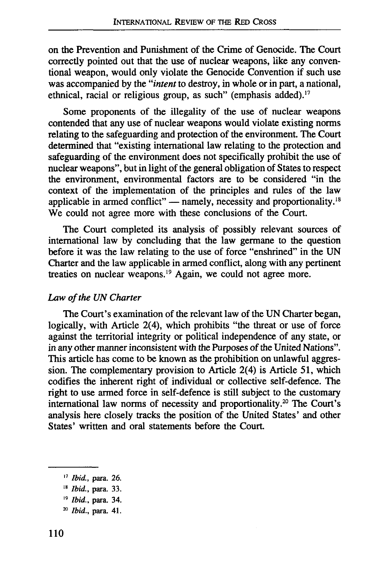on the Prevention and Punishment of the Crime of Genocide. The Court correctly pointed out that the use of nuclear weapons, like any conventional weapon, would only violate the Genocide Convention if such use was accompanied by the *"intent* to destroy, in whole or in part, a national, ethnical, racial or religious group, as such" (emphasis added).17

Some proponents of the illegality of the use of nuclear weapons contended that any use of nuclear weapons would violate existing norms relating to the safeguarding and protection of the environment. The Court determined that "existing international law relating to the protection and safeguarding of the environment does not specifically prohibit the use of nuclear weapons", but in light of the general obligation of States to respect the environment, environmental factors are to be considered "in the context of the implementation of the principles and rules of the law applicable in armed conflict" — namely, necessity and proportionality.<sup>18</sup> We could not agree more with these conclusions of the Court.

The Court completed its analysis of possibly relevant sources of international law by concluding that the law germane to the question before it was the law relating to the use of force "enshrined" in the UN Charter and the law applicable in armed conflict, along with any pertinent treaties on nuclear weapons.<sup>19</sup> Again, we could not agree more.

## *Law of the UN Charter*

The Court's examination of the relevant law of the UN Charter began, logically, with Article 2(4), which prohibits "the threat or use of force against the territorial integrity or political independence of any state, or in any other manner inconsistent with the Purposes of the United Nations". This article has come to be known as the prohibition on unlawful aggression. The complementary provision to Article 2(4) is Article 51, which codifies the inherent right of individual or collective self-defence. The right to use armed force in self-defence is still subject to the customary international law norms of necessity and proportionality.<sup>20</sup> The Court's analysis here closely tracks the position of the United States' and other States' written and oral statements before the Court.

<sup>17</sup>  *Ibid.,* para. 26.

<sup>18</sup>  *Ibid.,* para. 33.

<sup>19</sup>  *Ibid.,* para. 34.

<sup>20</sup>  *Ibid.,* para. 41.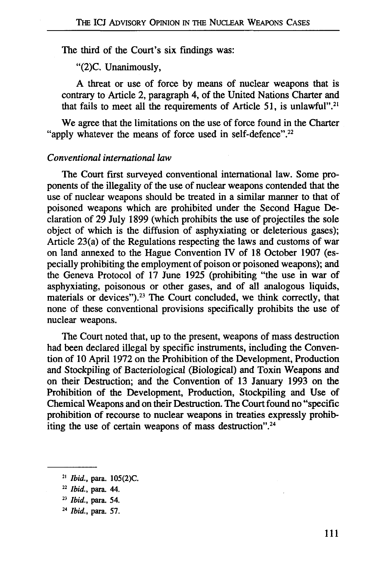The third of the Court's six findings was:

"(2)C. Unanimously,

A threat or use of force by means of nuclear weapons that is contrary to Article 2, paragraph 4, of the United Nations Charter and that fails to meet all the requirements of Article 51, is unlawful".<sup>21</sup>

We agree that the limitations on the use of force found in the Charter "apply whatever the means of force used in self-defence".<sup>22</sup>

### *Conventional international law*

The Court first surveyed conventional international law. Some proponents of the illegality of the use of nuclear weapons contended that the use of nuclear weapons should be treated in a similar manner to that of poisoned weapons which are prohibited under the Second Hague Declaration of 29 July 1899 (which prohibits the use of projectiles the sole object of which is the diffusion of asphyxiating or deleterious gases); Article 23(a) of the Regulations respecting the laws and customs of war on land annexed to the Hague Convention IV of 18 October 1907 (especially prohibiting the employment of poison or poisoned weapons); and the Geneva Protocol of 17 June 1925 (prohibiting "the use in war of asphyxiating, poisonous or other gases, and of all analogous liquids, materials or devices").<sup>23</sup> The Court concluded, we think correctly, that none of these conventional provisions specifically prohibits the use of nuclear weapons.

The Court noted that, up to the present, weapons of mass destruction had been declared illegal by specific instruments, including the Convention of 10 April 1972 on the Prohibition of the Development, Production and Stockpiling of Bacteriological (Biological) and Toxin Weapons and on their Destruction; and the Convention of 13 January 1993 on the Prohibition of the Development, Production, Stockpiling and Use of Chemical Weapons and on their Destruction. The Court found no "specific prohibition of recourse to nuclear weapons in treaties expressly prohibiting the use of certain weapons of mass destruction".24

<sup>21</sup>  *Ibid.,* para. 105(2)C.

<sup>22</sup>  *Ibid.,* para. 44.

<sup>23</sup>  *Ibid.,* para. 54.

<sup>24</sup>  *Ibid.,* para. 57.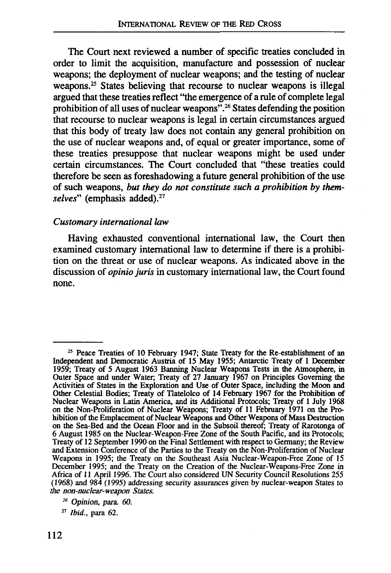The Court next reviewed a number of specific treaties concluded in order to limit the acquisition, manufacture and possession of nuclear weapons; the deployment of nuclear weapons; and the testing of nuclear weapons.<sup>25</sup> States believing that recourse to nuclear weapons is illegal argued that these treaties reflect "the emergence of a rule of complete legal prohibition of all uses of nuclear weapons".<sup>26</sup> States defending the position that recourse to nuclear weapons is legal in certain circumstances argued that this body of treaty law does not contain any general prohibition on the use of nuclear weapons and, of equal or greater importance, some of these treaties presuppose that nuclear weapons might be used under certain circumstances. The Court concluded that "these treaties could therefore be seen as foreshadowing a future general prohibition of the use of such weapons, *but they do not constitute such a prohibition by them*selves" (emphasis added).<sup>27</sup>

#### *Customary international law*

Having exhausted conventional international law, the Court then examined customary international law to determine if there is a prohibition on the threat or use of nuclear weapons. As indicated above in the discussion of *opinio juris* in customary international law, the Court found none.

<sup>&</sup>lt;sup>25</sup> Peace Treaties of 10 February 1947; State Treaty for the Re-establishment of an Independent and Democratic Austria of 15 May 1955; Antarctic Treaty of 1 December<br>1959; Treaty of 5 August 1963 Banning Nuclear Weapons Tests in the Atmosphere, in<br>1959; Treaty of 5 August 1963 Banning Nuclear Weapons Test Other Celestial Bodies; Treaty of Tlatelolco of 14 February 1967 for the Prohibition of Nuclear Weapons in Latin America, and its Additional Protocols; Treaty of 1 July 1968 on the Non-Proliferation of Nuclear Weapons; Treaty of 11 February 1971 on the Pro-hibition of the Emplacement of Nuclear Weapons and Ot on the Sea-Bed and the Ocean Floor and in the Subsoil thereof; Treaty of Rarotonga of 6 August 1985 on the Nuclear-Weapon-Free Zone of the South Pacific, and its Protocols; and Extension Conference of the Parties to the Treaty on the Non-Proliferation of Nuclear Weapons in 1995; the Treaty on the Southeast Asia Nuclear-Weapon-Free Zone of 15 December 1995; and the Treaty on the Creation of the Nuclear-Weapons-Free Zone in Africa of 11 April 1996. The Court also considered UN Security Council Resolutions 255 (1968) and 984 (1995) addressing security assurances given by nuclear-weapon States to *the non-nuclear-weapon States.*

*<sup>26</sup> Opinion, para. 60.*

<sup>27</sup>  *Ibid.,* para 62.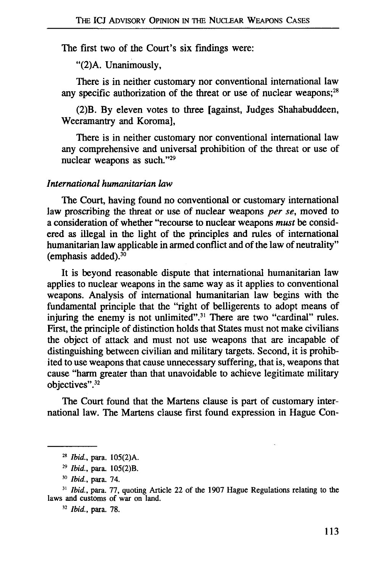The first two of the Court's six findings were:

"(2)A. Unanimously,

There is in neither customary nor conventional international law any specific authorization of the threat or use of nuclear weapons;<sup>28</sup>

(2)B. By eleven votes to three [against, Judges Shahabuddeen, Weeramantry and Koroma],

There is in neither customary nor conventional international law any comprehensive and universal prohibition of the threat or use of nuclear weapons as such."29

#### *International humanitarian law*

The Court, having found no conventional or customary international law proscribing the threat or use of nuclear weapons *per se,* moved to a consideration of whether "recourse to nuclear weapons *must* be considered as illegal in the light of the principles and rules of international humanitarian law applicable in armed conflict and of the law of neutrality" (emphasis added). $30$ 

It is beyond reasonable dispute that international humanitarian law applies to nuclear weapons in the same way as it applies to conventional weapons. Analysis of international humanitarian law begins with the fundamental principle that the "right of belligerents to adopt means of injuring the enemy is not unlimited".<sup>31</sup> There are two "cardinal" rules. First, the principle of distinction holds that States must not make civilians the object of attack and must not use weapons that are incapable of distinguishing between civilian and military targets. Second, it is prohibited to use weapons that cause unnecessary suffering, that is, weapons that cause "harm greater than that unavoidable to achieve legitimate military objectives".32

The Court found that the Martens clause is part of customary international law. The Martens clause first found expression in Hague Con-

<sup>31</sup> *Ibid.*, para. 77, quoting Article 22 of the 1907 Hague Regulations relating to the laws and customs of war on land.

32  *Ibid.,* para. 78.

<sup>28</sup>  *Ibid.,* para. 105(2)A.

<sup>29</sup>  *Ibid.,* para. 105(2)B.

<sup>30</sup>  *Ibid.,* para. 74.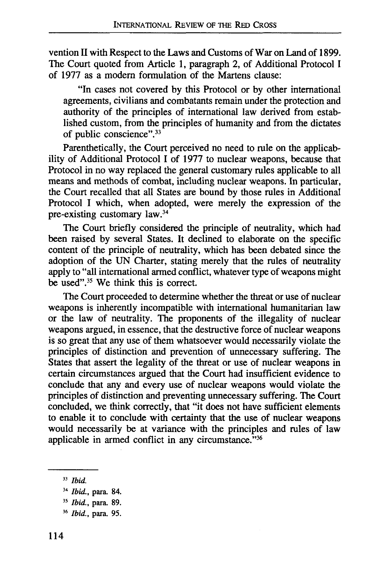vention II with Respect to the Laws and Customs of War on Land of 1899. The Court quoted from Article 1, paragraph 2, of Additional Protocol I of 1977 as a modern formulation of the Martens clause:

"In cases not covered by this Protocol or by other international agreements, civilians and combatants remain under the protection and authority of the principles of international law derived from established custom, from the principles of humanity and from the dictates of public conscience".33

Parenthetically, the Court perceived no need to rule on the applicability of Additional Protocol I of 1977 to nuclear weapons, because that Protocol in no way replaced the general customary rules applicable to all means and methods of combat, including nuclear weapons. In particular, the Court recalled that all States are bound by those rules in Additional Protocol I which, when adopted, were merely the expression of the pre-existing customary law.34

The Court briefly considered the principle of neutrality, which had been raised by several States. It declined to elaborate on the specific content of the principle of neutrality, which has been debated since the adoption of the UN Charter, stating merely that the rules of neutrality apply to "all international armed conflict, whatever type of weapons might be used".<sup>35</sup> We think this is correct.

The Court proceeded to determine whether the threat or use of nuclear weapons is inherently incompatible with international humanitarian law or the law of neutrality. The proponents of the illegality of nuclear weapons argued, in essence, that the destructive force of nuclear weapons is so great that any use of them whatsoever would necessarily violate the principles of distinction and prevention of unnecessary suffering. The States that assert the legality of the threat or use of nuclear weapons in certain circumstances argued that the Court had insufficient evidence to conclude that any and every use of nuclear weapons would violate the principles of distinction and preventing unnecessary suffering. The Court concluded, we think correctly, that "it does not have sufficient elements to enable it to conclude with certainty that the use of nuclear weapons would necessarily be at variance with the principles and rules of law applicable in armed conflict in any circumstance."36

33  *Ibid.*

<sup>34</sup>  *Ibid.,* para. 84.

<sup>35</sup>  *Ibid.,* para. 89.

<sup>36</sup>  *Ibid.,* para. 95.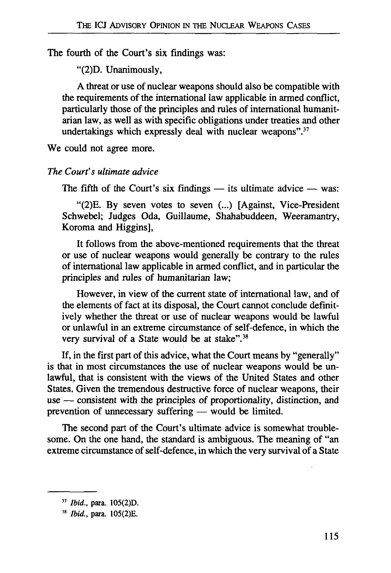The fourth of the Court's six findings was:

"(2)D. Unanimously,

A threat or use of nuclear weapons should also be compatible with the requirements of the international law applicable in armed conflict, particularly those of the principles and rules of international humanitarian law, as well as with specific obligations under treaties and other undertakings which expressly deal with nuclear weapons".<sup>37</sup>

We could not agree more.

#### *The Court's ultimate advice*

The fifth of the Court's six findings  $-$  its ultimate advice  $-$  was:

"(2)E. By seven votes to seven (...) [Against, Vice-President Schwebel; Judges Oda, Guillaume, Shahabuddeen, Weeramantry, Koroma and Higgins],

It follows from the above-mentioned requirements that the threat or use of nuclear weapons would generally be contrary to the rules of international law applicable in armed conflict, and in particular the principles and rules of humanitarian law;

However, in view of the current state of international law, and of the elements of fact at its disposal, the Court cannot conclude definitively whether the threat or use of nuclear weapons would be lawful or unlawful in an extreme circumstance of self-defence, in which the very survival of a State would be at stake".38

If, in the first part of this advice, what the Court means by "generally" is that in most circumstances the use of nuclear weapons would be unlawful, that is consistent with the views of the United States and other States. Given the tremendous destructive force of nuclear weapons, their use — consistent with the principles of proportionality, distinction, and prevention of unnecessary suffering — would be limited.

The second part of the Court's ultimate advice is somewhat troublesome. On the one hand, the standard is ambiguous. The meaning of "an extreme circumstance of self-defence, in which the very survival of a State

<sup>37</sup>  *Ibid.,* para. 105(2)D.

<sup>38</sup>  *Ibid.,* para. 105(2)E.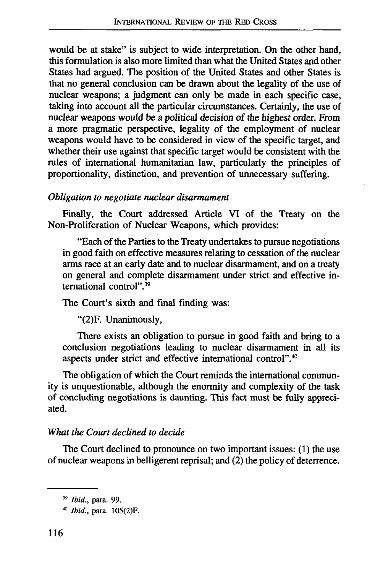would be at stake" is subject to wide interpretation. On the other hand, this formulation is also more limited than what the United States and other States had argued. The position of the United States and other States is that no general conclusion can be drawn about the legality of the use of nuclear weapons; a judgment can only be made in each specific case, taking into account all the particular circumstances. Certainly, the use of nuclear weapons would be a political decision of the highest order. From a more pragmatic perspective, legality of the employment of nuclear weapons would have to be considered in view of the specific target, and whether their use against that specific target would be consistent with the rules of international humanitarian law, particularly the principles of proportionality, distinction, and prevention of unnecessary suffering.

## *Obligation to negotiate nuclear disarmament*

Finally, the Court addressed Article VI of the Treaty on the Non-Proliferation of Nuclear Weapons, which provides:

"Each of the Parties to the Treaty undertakes to pursue negotiations in good faith on effective measures relating to cessation of the nuclear arms race at an early date and to nuclear disarmament, and on a treaty on general and complete disarmament under strict and effective international control".39

The Court's sixth and final finding was:

"(2)F. Unanimously,

There exists an obligation to pursue in good faith and bring to a conclusion negotiations leading to nuclear disarmament in all its aspects under strict and effective international control".40

The obligation of which the Court reminds the international community is unquestionable, although the enormity and complexity of the task of concluding negotiations is daunting. This fact must be fully appreciated.

# *What the Court declined to decide*

The Court declined to pronounce on two important issues: (1) the use of nuclear weapons in belligerent reprisal; and (2) the policy of deterrence.

<sup>39</sup>  *Ibid.,* para. 99.

<sup>«</sup> *Ibid.,* para. 105(2)F.